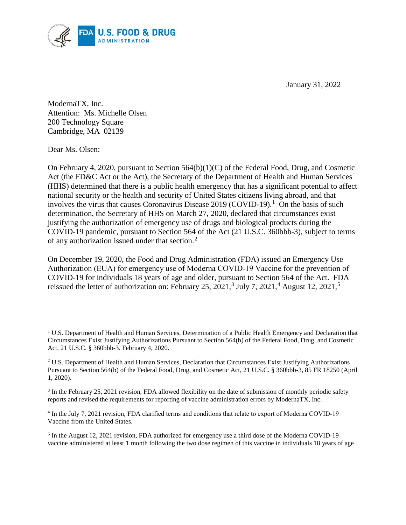

January 31, 2022

ModernaTX, Inc. Attention: Ms. Michelle Olsen 200 Technology Square Cambridge, MA 02139

Dear Ms. Olsen:

 $\overline{a}$ 

On February 4, 2020, pursuant to Section 564(b)(1)(C) of the Federal Food, Drug, and Cosmetic Act (the FD&C Act or the Act), the Secretary of the Department of Health and Human Services (HHS) determined that there is a public health emergency that has a significant potential to affect national security or the health and security of United States citizens living abroad, and that involves the virus that causes Coronavirus Disease 2019 (COVID-19). 1 On the basis of such determination, the Secretary of HHS on March 27, 2020, declared that circumstances exist justifying the authorization of emergency use of drugs and biological products during the COVID-19 pandemic, pursuant to Section 564 of the Act (21 U.S.C. 360bbb-3), subject to terms of any authorization issued under that section.<sup>2</sup>

On December 19, 2020, the Food and Drug Administration (FDA) issued an Emergency Use Authorization (EUA) for emergency use of Moderna COVID-19 Vaccine for the prevention of COVID-19 for individuals 18 years of age and older, pursuant to Section 564 of the Act. FDA reissued the letter of authorization on: February 25, 2021,<sup>3</sup> July 7, 2021,<sup>4</sup> August 12, 2021,<sup>5</sup>

<sup>&</sup>lt;sup>1</sup> U.S. Department of Health and Human Services, Determination of a Public Health Emergency and Declaration that Circumstances Exist Justifying Authorizations Pursuant to Section 564(b) of the Federal Food, Drug, and Cosmetic Act, 21 U.S.C. § 360bbb-3. February 4, 2020.

<sup>2</sup> U.S. Department of Health and Human Services, Declaration that Circumstances Exist Justifying Authorizations Pursuant to Section 564(b) of the Federal Food, Drug, and Cosmetic Act, 21 U.S.C. § 360bbb-3, 85 FR 18250 (April 1, 2020).

<sup>3</sup> In the February 25, 2021 revision, FDA allowed flexibility on the date of submission of monthly periodic safety reports and revised the requirements for reporting of vaccine administration errors by ModernaTX, Inc.

<sup>&</sup>lt;sup>4</sup> In the July 7, 2021 revision, FDA clarified terms and conditions that relate to export of Moderna COVID-19 Vaccine from the United States.

<sup>&</sup>lt;sup>5</sup> In the August 12, 2021 revision, FDA authorized for emergency use a third dose of the Moderna COVID-19 vaccine administered at least 1 month following the two dose regimen of this vaccine in individuals 18 years of age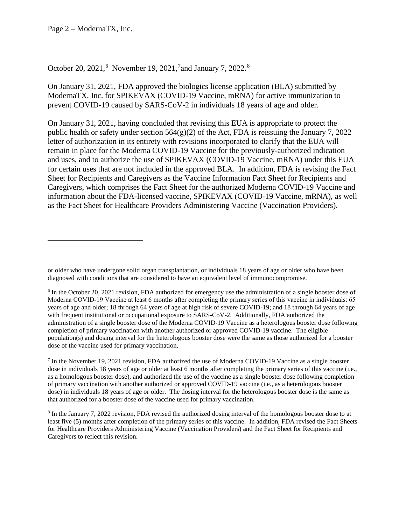Page 2 – ModernaTX, Inc.

 $\overline{a}$ 

# October 20, 2021,<sup>6</sup> November 19, 2021,<sup>7</sup> and January 7, 2022.<sup>8</sup>

On January 31, 2021, FDA approved the biologics license application (BLA) submitted by ModernaTX, Inc. for SPIKEVAX (COVID-19 Vaccine, mRNA) for active immunization to prevent COVID-19 caused by SARS-CoV-2 in individuals 18 years of age and older.

On January 31, 2021, having concluded that revising this EUA is appropriate to protect the public health or safety under section  $564(g)(2)$  of the Act, FDA is reissuing the January 7, 2022 letter of authorization in its entirety with revisions incorporated to clarify that the EUA will remain in place for the Moderna COVID-19 Vaccine for the previously-authorized indication and uses, and to authorize the use of SPIKEVAX (COVID-19 Vaccine, mRNA) under this EUA for certain uses that are not included in the approved BLA. In addition, FDA is revising the Fact Sheet for Recipients and Caregivers as the Vaccine Information Fact Sheet for Recipients and Caregivers, which comprises the Fact Sheet for the authorized Moderna COVID-19 Vaccine and information about the FDA-licensed vaccine, SPIKEVAX (COVID-19 Vaccine, mRNA), as well as the Fact Sheet for Healthcare Providers Administering Vaccine (Vaccination Providers).

or older who have undergone solid organ transplantation, or individuals 18 years of age or older who have been diagnosed with conditions that are considered to have an equivalent level of immunocompromise.

<sup>&</sup>lt;sup>6</sup> In the October 20, 2021 revision, FDA authorized for emergency use the administration of a single booster dose of Moderna COVID-19 Vaccine at least 6 months after completing the primary series of this vaccine in individuals: 65 years of age and older; 18 through 64 years of age at high risk of severe COVID-19; and 18 through 64 years of age with frequent institutional or occupational exposure to SARS-CoV-2. Additionally, FDA authorized the administration of a single booster dose of the Moderna COVID-19 Vaccine as a heterologous booster dose following completion of primary vaccination with another authorized or approved COVID-19 vaccine. The eligible population(s) and dosing interval for the heterologous booster dose were the same as those authorized for a booster dose of the vaccine used for primary vaccination.

<sup>7</sup> In the November 19, 2021 revision, FDA authorized the use of Moderna COVID-19 Vaccine as a single booster dose in individuals 18 years of age or older at least 6 months after completing the primary series of this vaccine (i.e., as a homologous booster dose), and authorized the use of the vaccine as a single booster dose following completion of primary vaccination with another authorized or approved COVID-19 vaccine (i.e., as a heterologous booster dose) in individuals 18 years of age or older. The dosing interval for the heterologous booster dose is the same as that authorized for a booster dose of the vaccine used for primary vaccination.

<sup>8</sup> In the January 7, 2022 revision, FDA revised the authorized dosing interval of the homologous booster dose to at least five (5) months after completion of the primary series of this vaccine. In addition, FDA revised the Fact Sheets for Healthcare Providers Administering Vaccine (Vaccination Providers) and the Fact Sheet for Recipients and Caregivers to reflect this revision.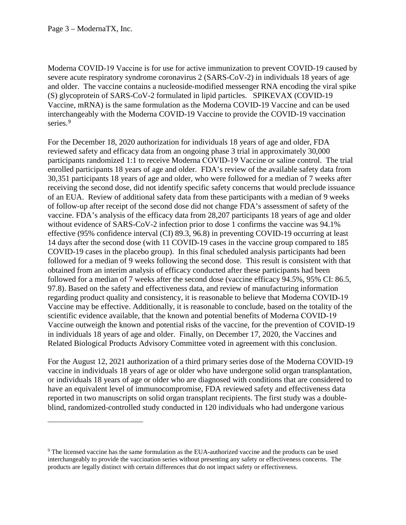Moderna COVID‑19 Vaccine is for use for active immunization to prevent COVID-19 caused by severe acute respiratory syndrome coronavirus 2 (SARS-CoV-2) in individuals 18 years of age and older. The vaccine contains a nucleoside-modified messenger RNA encoding the viral spike (S) glycoprotein of SARS-CoV-2 formulated in lipid particles. SPIKEVAX (COVID-19 Vaccine, mRNA) is the same formulation as the Moderna COVID-19 Vaccine and can be used interchangeably with the Moderna COVID-19 Vaccine to provide the COVID-19 vaccination series. 9

For the December 18, 2020 authorization for individuals 18 years of age and older, FDA reviewed safety and efficacy data from an ongoing phase 3 trial in approximately 30,000 participants randomized 1:1 to receive Moderna COVID-19 Vaccine or saline control. The trial enrolled participants 18 years of age and older. FDA's review of the available safety data from 30,351 participants 18 years of age and older, who were followed for a median of 7 weeks after receiving the second dose, did not identify specific safety concerns that would preclude issuance of an EUA. Review of additional safety data from these participants with a median of 9 weeks of follow-up after receipt of the second dose did not change FDA's assessment of safety of the vaccine. FDA's analysis of the efficacy data from 28,207 participants 18 years of age and older without evidence of SARS-CoV-2 infection prior to dose 1 confirms the vaccine was 94.1% effective (95% confidence interval (CI) 89.3, 96.8) in preventing COVID-19 occurring at least 14 days after the second dose (with 11 COVID-19 cases in the vaccine group compared to 185 COVID-19 cases in the placebo group). In this final scheduled analysis participants had been followed for a median of 9 weeks following the second dose. This result is consistent with that obtained from an interim analysis of efficacy conducted after these participants had been followed for a median of 7 weeks after the second dose (vaccine efficacy 94.5%, 95% CI: 86.5, 97.8). Based on the safety and effectiveness data, and review of manufacturing information regarding product quality and consistency, it is reasonable to believe that Moderna COVID-19 Vaccine may be effective. Additionally, it is reasonable to conclude, based on the totality of the scientific evidence available, that the known and potential benefits of Moderna COVID-19 Vaccine outweigh the known and potential risks of the vaccine, for the prevention of COVID-19 in individuals 18 years of age and older. Finally, on December 17, 2020, the Vaccines and Related Biological Products Advisory Committee voted in agreement with this conclusion.

For the August 12, 2021 authorization of a third primary series dose of the Moderna COVID-19 vaccine in individuals 18 years of age or older who have undergone solid organ transplantation, or individuals 18 years of age or older who are diagnosed with conditions that are considered to have an equivalent level of immunocompromise, FDA reviewed safety and effectiveness data reported in two manuscripts on solid organ transplant recipients. The first study was a doubleblind, randomized-controlled study conducted in 120 individuals who had undergone various

<sup>9</sup> The licensed vaccine has the same formulation as the EUA-authorized vaccine and the products can be used interchangeably to provide the vaccination series without presenting any safety or effectiveness concerns. The products are legally distinct with certain differences that do not impact safety or effectiveness.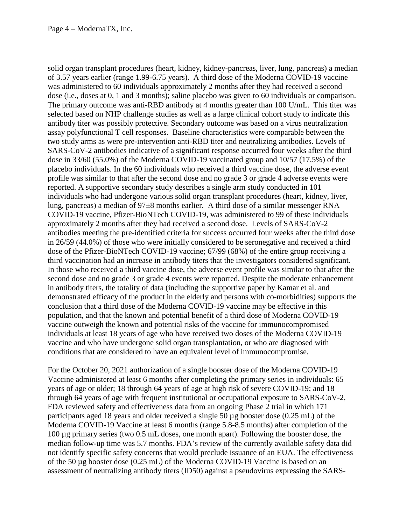solid organ transplant procedures (heart, kidney, kidney-pancreas, liver, lung, pancreas) a median of 3.57 years earlier (range 1.99-6.75 years). A third dose of the Moderna COVID-19 vaccine was administered to 60 individuals approximately 2 months after they had received a second dose (i.e., doses at 0, 1 and 3 months); saline placebo was given to 60 individuals or comparison. The primary outcome was anti-RBD antibody at 4 months greater than 100 U/mL. This titer was selected based on NHP challenge studies as well as a large clinical cohort study to indicate this antibody titer was possibly protective. Secondary outcome was based on a virus neutralization assay polyfunctional T cell responses. Baseline characteristics were comparable between the two study arms as were pre-intervention anti-RBD titer and neutralizing antibodies. Levels of SARS-CoV-2 antibodies indicative of a significant response occurred four weeks after the third dose in 33/60 (55.0%) of the Moderna COVID-19 vaccinated group and 10/57 (17.5%) of the placebo individuals. In the 60 individuals who received a third vaccine dose, the adverse event profile was similar to that after the second dose and no grade 3 or grade 4 adverse events were reported. A supportive secondary study describes a single arm study conducted in 101 individuals who had undergone various solid organ transplant procedures (heart, kidney, liver, lung, pancreas) a median of 97±8 months earlier. A third dose of a similar messenger RNA COVID-19 vaccine, Pfizer-BioNTech COVID-19, was administered to 99 of these individuals approximately 2 months after they had received a second dose. Levels of SARS-CoV-2 antibodies meeting the pre-identified criteria for success occurred four weeks after the third dose in 26/59 (44.0%) of those who were initially considered to be seronegative and received a third dose of the Pfizer-BioNTech COVID-19 vaccine; 67/99 (68%) of the entire group receiving a third vaccination had an increase in antibody titers that the investigators considered significant. In those who received a third vaccine dose, the adverse event profile was similar to that after the second dose and no grade 3 or grade 4 events were reported. Despite the moderate enhancement in antibody titers, the totality of data (including the supportive paper by Kamar et al. and demonstrated efficacy of the product in the elderly and persons with co-morbidities) supports the conclusion that a third dose of the Moderna COVID-19 vaccine may be effective in this population, and that the known and potential benefit of a third dose of Moderna COVID-19 vaccine outweigh the known and potential risks of the vaccine for immunocompromised individuals at least 18 years of age who have received two doses of the Moderna COVID-19 vaccine and who have undergone solid organ transplantation, or who are diagnosed with conditions that are considered to have an equivalent level of immunocompromise.

For the October 20, 2021 authorization of a single booster dose of the Moderna COVID-19 Vaccine administered at least 6 months after completing the primary series in individuals: 65 years of age or older; 18 through 64 years of age at high risk of severe COVID-19; and 18 through 64 years of age with frequent institutional or occupational exposure to SARS-CoV-2, FDA reviewed safety and effectiveness data from an ongoing Phase 2 trial in which 171 participants aged 18 years and older received a single 50 µg booster dose (0.25 mL) of the Moderna COVID-19 Vaccine at least 6 months (range 5.8-8.5 months) after completion of the 100 µg primary series (two 0.5 mL doses, one month apart). Following the booster dose, the median follow-up time was 5.7 months. FDA's review of the currently available safety data did not identify specific safety concerns that would preclude issuance of an EUA. The effectiveness of the 50 µg booster dose (0.25 mL) of the Moderna COVID-19 Vaccine is based on an assessment of neutralizing antibody titers (ID50) against a pseudovirus expressing the SARS-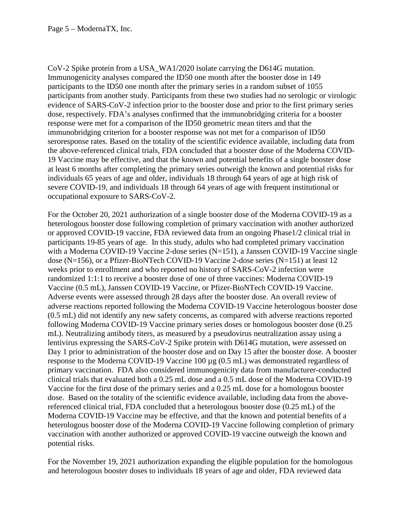CoV-2 Spike protein from a USA\_WA1/2020 isolate carrying the D614G mutation. Immunogenicity analyses compared the ID50 one month after the booster dose in 149 participants to the ID50 one month after the primary series in a random subset of 1055 participants from another study. Participants from these two studies had no serologic or virologic evidence of SARS-CoV-2 infection prior to the booster dose and prior to the first primary series dose, respectively. FDA's analyses confirmed that the immunobridging criteria for a booster response were met for a comparison of the ID50 geometric mean titers and that the immunobridging criterion for a booster response was not met for a comparison of ID50 seroresponse rates. Based on the totality of the scientific evidence available, including data from the above-referenced clinical trials, FDA concluded that a booster dose of the Moderna COVID-19 Vaccine may be effective, and that the known and potential benefits of a single booster dose at least 6 months after completing the primary series outweigh the known and potential risks for individuals 65 years of age and older, individuals 18 through 64 years of age at high risk of severe COVID-19, and individuals 18 through 64 years of age with frequent institutional or occupational exposure to SARS-CoV-2.

For the October 20, 2021 authorization of a single booster dose of the Moderna COVID-19 as a heterologous booster dose following completion of primary vaccination with another authorized or approved COVID-19 vaccine, FDA reviewed data from an ongoing Phase1/2 clinical trial in participants 19-85 years of age. In this study, adults who had completed primary vaccination with a Moderna COVID-19 Vaccine 2-dose series (N=151), a Janssen COVID-19 Vaccine single dose (N=156), or a Pfizer-BioNTech COVID-19 Vaccine 2-dose series (N=151) at least 12 weeks prior to enrollment and who reported no history of SARS-CoV-2 infection were randomized 1:1:1 to receive a booster dose of one of three vaccines: Moderna COVID-19 Vaccine (0.5 mL), Janssen COVID-19 Vaccine, or Pfizer-BioNTech COVID-19 Vaccine. Adverse events were assessed through 28 days after the booster dose. An overall review of adverse reactions reported following the Moderna COVID-19 Vaccine heterologous booster dose (0.5 mL) did not identify any new safety concerns, as compared with adverse reactions reported following Moderna COVID-19 Vaccine primary series doses or homologous booster dose (0.25 mL). Neutralizing antibody titers, as measured by a pseudovirus neutralization assay using a lentivirus expressing the SARS-CoV-2 Spike protein with D614G mutation, were assessed on Day 1 prior to administration of the booster dose and on Day 15 after the booster dose. A booster response to the Moderna COVID-19 Vaccine 100 µg (0.5 mL) was demonstrated regardless of primary vaccination. FDA also considered immunogenicity data from manufacturer-conducted clinical trials that evaluated both a 0.25 mL dose and a 0.5 mL dose of the Moderna COVID-19 Vaccine for the first dose of the primary series and a 0.25 mL dose for a homologous booster dose. Based on the totality of the scientific evidence available, including data from the abovereferenced clinical trial, FDA concluded that a heterologous booster dose (0.25 mL) of the Moderna COVID-19 Vaccine may be effective, and that the known and potential benefits of a heterologous booster dose of the Moderna COVID-19 Vaccine following completion of primary vaccination with another authorized or approved COVID-19 vaccine outweigh the known and potential risks.

For the November 19, 2021 authorization expanding the eligible population for the homologous and heterologous booster doses to individuals 18 years of age and older, FDA reviewed data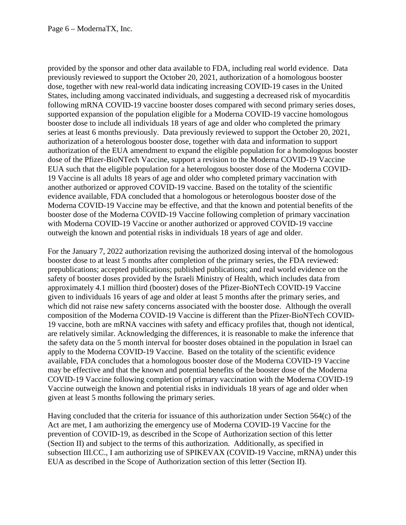provided by the sponsor and other data available to FDA, including real world evidence. Data previously reviewed to support the October 20, 2021, authorization of a homologous booster dose, together with new real-world data indicating increasing COVID-19 cases in the United States, including among vaccinated individuals, and suggesting a decreased risk of myocarditis following mRNA COVID-19 vaccine booster doses compared with second primary series doses, supported expansion of the population eligible for a Moderna COVID-19 vaccine homologous booster dose to include all individuals 18 years of age and older who completed the primary series at least 6 months previously. Data previously reviewed to support the October 20, 2021, authorization of a heterologous booster dose, together with data and information to support authorization of the EUA amendment to expand the eligible population for a homologous booster dose of the Pfizer-BioNTech Vaccine, support a revision to the Moderna COVID-19 Vaccine EUA such that the eligible population for a heterologous booster dose of the Moderna COVID-19 Vaccine is all adults 18 years of age and older who completed primary vaccination with another authorized or approved COVID-19 vaccine. Based on the totality of the scientific evidence available, FDA concluded that a homologous or heterologous booster dose of the Moderna COVID-19 Vaccine may be effective, and that the known and potential benefits of the booster dose of the Moderna COVID-19 Vaccine following completion of primary vaccination with Moderna COVID-19 Vaccine or another authorized or approved COVID-19 vaccine outweigh the known and potential risks in individuals 18 years of age and older.

For the January 7, 2022 authorization revising the authorized dosing interval of the homologous booster dose to at least 5 months after completion of the primary series, the FDA reviewed: prepublications; accepted publications; published publications; and real world evidence on the safety of booster doses provided by the Israeli Ministry of Health, which includes data from approximately 4.1 million third (booster) doses of the Pfizer-BioNTech COVID-19 Vaccine given to individuals 16 years of age and older at least 5 months after the primary series, and which did not raise new safety concerns associated with the booster dose. Although the overall composition of the Moderna COVID-19 Vaccine is different than the Pfizer-BioNTech COVID-19 vaccine, both are mRNA vaccines with safety and efficacy profiles that, though not identical, are relatively similar. Acknowledging the differences, it is reasonable to make the inference that the safety data on the 5 month interval for booster doses obtained in the population in Israel can apply to the Moderna COVID-19 Vaccine. Based on the totality of the scientific evidence available, FDA concludes that a homologous booster dose of the Moderna COVID-19 Vaccine may be effective and that the known and potential benefits of the booster dose of the Moderna COVID-19 Vaccine following completion of primary vaccination with the Moderna COVID-19 Vaccine outweigh the known and potential risks in individuals 18 years of age and older when given at least 5 months following the primary series.

Having concluded that the criteria for issuance of this authorization under Section 564(c) of the Act are met, I am authorizing the emergency use of Moderna COVID-19 Vaccine for the prevention of COVID-19, as described in the Scope of Authorization section of this letter (Section II) and subject to the terms of this authorization. Additionally, as specified in subsection III.CC., I am authorizing use of SPIKEVAX (COVID-19 Vaccine, mRNA) under this EUA as described in the Scope of Authorization section of this letter (Section II).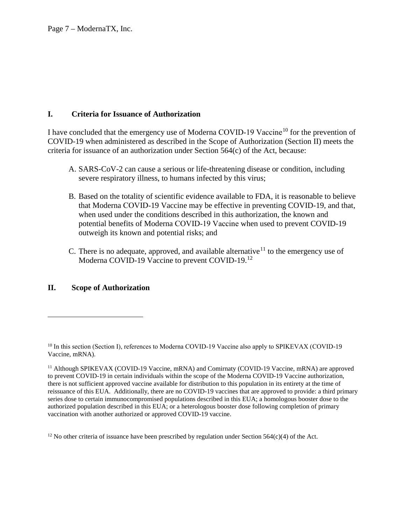# **I. Criteria for Issuance of Authorization**

I have concluded that the emergency use of Moderna COVID-19 Vaccine<sup>10</sup> for the prevention of COVID-19 when administered as described in the Scope of Authorization (Section II) meets the criteria for issuance of an authorization under Section  $564(c)$  of the Act, because:

- A. SARS-CoV-2 can cause a serious or life-threatening disease or condition, including severe respiratory illness, to humans infected by this virus;
- B. Based on the totality of scientific evidence available to FDA, it is reasonable to believe that Moderna COVID‑19 Vaccine may be effective in preventing COVID-19, and that, when used under the conditions described in this authorization, the known and potential benefits of Moderna COVID‑19 Vaccine when used to prevent COVID-19 outweigh its known and potential risks; and
- C. There is no adequate, approved, and available alternative<sup>11</sup> to the emergency use of Moderna COVID-19 Vaccine to prevent COVID-19.<sup>12</sup>

# **II. Scope of Authorization**

 $\overline{a}$ 

 $12$  No other criteria of issuance have been prescribed by regulation under Section 564(c)(4) of the Act.

<sup>&</sup>lt;sup>10</sup> In this section (Section I), references to Moderna COVID-19 Vaccine also apply to SPIKEVAX (COVID-19 Vaccine, mRNA).

<sup>&</sup>lt;sup>11</sup> Although SPIKEVAX (COVID-19 Vaccine, mRNA) and Comirnaty (COVID-19 Vaccine, mRNA) are approved to prevent COVID-19 in certain individuals within the scope of the Moderna COVID-19 Vaccine authorization, there is not sufficient approved vaccine available for distribution to this population in its entirety at the time of reissuance of this EUA. Additionally, there are no COVID-19 vaccines that are approved to provide: a third primary series dose to certain immunocompromised populations described in this EUA; a homologous booster dose to the authorized population described in this EUA; or a heterologous booster dose following completion of primary vaccination with another authorized or approved COVID-19 vaccine.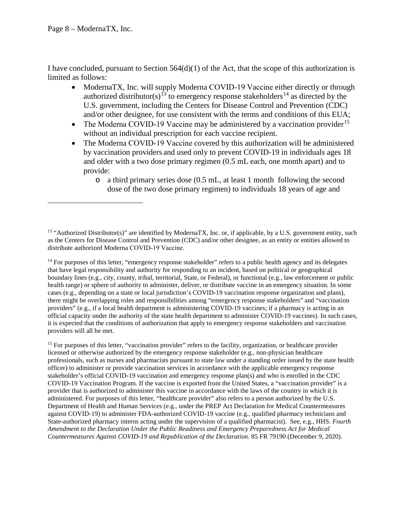I have concluded, pursuant to Section 564(d)(1) of the Act, that the scope of this authorization is limited as follows:

- ModernaTX, Inc. will supply Moderna COVID-19 Vaccine either directly or through authorized distributor(s)<sup>13</sup> to emergency response stakeholders<sup>14</sup> as directed by the U.S. government, including the Centers for Disease Control and Prevention (CDC) and/or other designee, for use consistent with the terms and conditions of this EUA;
- The Moderna COVID-19 Vaccine may be administered by a vaccination provider<sup>15</sup> without an individual prescription for each vaccine recipient.
- The Moderna COVID-19 Vaccine covered by this authorization will be administered by vaccination providers and used only to prevent COVID-19 in individuals ages 18 and older with a two dose primary regimen (0.5 mL each, one month apart) and to provide:
	- o a third primary series dose (0.5 mL, at least 1 month following the second dose of the two dose primary regimen) to individuals 18 years of age and

<sup>14</sup> For purposes of this letter, "emergency response stakeholder" refers to a public health agency and its delegates that have legal responsibility and authority for responding to an incident, based on political or geographical boundary lines (e.g., city, county, tribal, territorial, State, or Federal), or functional (e.g., law enforcement or public health range) or sphere of authority to administer, deliver, or distribute vaccine in an emergency situation. In some cases (e.g., depending on a state or local jurisdiction's COVID-19 vaccination response organization and plans), there might be overlapping roles and responsibilities among "emergency response stakeholders" and "vaccination providers" (e.g., if a local health department is administering COVID-19 vaccines; if a pharmacy is acting in an official capacity under the authority of the state health department to administer COVID-19 vaccines). In such cases, it is expected that the conditions of authorization that apply to emergency response stakeholders and vaccination providers will all be met.

<sup>15</sup> For purposes of this letter, "vaccination provider" refers to the facility, organization, or healthcare provider licensed or otherwise authorized by the emergency response stakeholder (e.g., non-physician healthcare professionals, such as nurses and pharmacists pursuant to state law under a standing order issued by the state health officer) to administer or provide vaccination services in accordance with the applicable emergency response stakeholder's official COVID-19 vaccination and emergency response plan(s) and who is enrolled in the CDC COVID-19 Vaccination Program. If the vaccine is exported from the United States, a "vaccination provider" is a provider that is authorized to administer this vaccine in accordance with the laws of the country in which it is administered. For purposes of this letter, "healthcare provider" also refers to a person authorized by the U.S. Department of Health and Human Services (e.g., under the PREP Act Declaration for Medical Countermeasures against COVID-19) to administer FDA-authorized COVID-19 vaccine (e.g., qualified pharmacy technicians and State-authorized pharmacy interns acting under the supervision of a qualified pharmacist). See, e.g., HHS. *Fourth Amendment to the Declaration Under the Public Readiness and Emergency Preparedness Act for Medical Countermeasures Against COVID-19 and Republication of the Declaration*. 85 FR 79190 (December 9, 2020).

 $13$  "Authorized Distributor(s)" are identified by ModernaTX, Inc. or, if applicable, by a U.S. government entity, such as the Centers for Disease Control and Prevention (CDC) and/or other designee, as an entity or entities allowed to distribute authorized Moderna COVID‑19 Vaccine.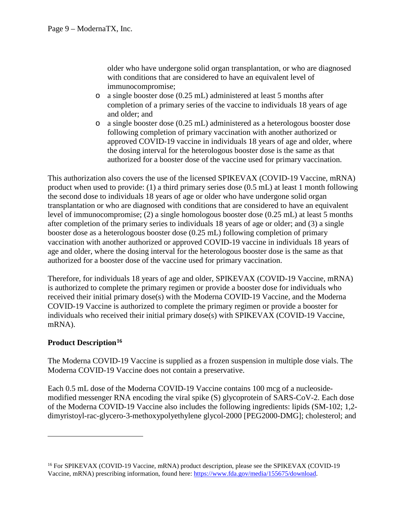older who have undergone solid organ transplantation, or who are diagnosed with conditions that are considered to have an equivalent level of immunocompromise;

- o a single booster dose (0.25 mL) administered at least 5 months after completion of a primary series of the vaccine to individuals 18 years of age and older; and
- o a single booster dose (0.25 mL) administered as a heterologous booster dose following completion of primary vaccination with another authorized or approved COVID-19 vaccine in individuals 18 years of age and older, where the dosing interval for the heterologous booster dose is the same as that authorized for a booster dose of the vaccine used for primary vaccination.

This authorization also covers the use of the licensed SPIKEVAX (COVID-19 Vaccine, mRNA) product when used to provide: (1) a third primary series dose (0.5 mL) at least 1 month following the second dose to individuals 18 years of age or older who have undergone solid organ transplantation or who are diagnosed with conditions that are considered to have an equivalent level of immunocompromise; (2) a single homologous booster dose (0.25 mL) at least 5 months after completion of the primary series to individuals 18 years of age or older; and (3) a single booster dose as a heterologous booster dose (0.25 mL) following completion of primary vaccination with another authorized or approved COVID-19 vaccine in individuals 18 years of age and older, where the dosing interval for the heterologous booster dose is the same as that authorized for a booster dose of the vaccine used for primary vaccination.

Therefore, for individuals 18 years of age and older, SPIKEVAX (COVID-19 Vaccine, mRNA) is authorized to complete the primary regimen or provide a booster dose for individuals who received their initial primary dose(s) with the Moderna COVID-19 Vaccine, and the Moderna COVID-19 Vaccine is authorized to complete the primary regimen or provide a booster for individuals who received their initial primary dose(s) with SPIKEVAX (COVID-19 Vaccine, mRNA).

# **Product Description**<sup>16</sup>

 $\overline{a}$ 

The Moderna COVID-19 Vaccine is supplied as a frozen suspension in multiple dose vials. The Moderna COVID-19 Vaccine does not contain a preservative.

Each 0.5 mL dose of the Moderna COVID-19 Vaccine contains 100 mcg of a nucleosidemodified messenger RNA encoding the viral spike (S) glycoprotein of SARS-CoV-2. Each dose of the Moderna COVID-19 Vaccine also includes the following ingredients: lipids (SM-102; 1,2 dimyristoyl-rac-glycero-3-methoxypolyethylene glycol-2000 [PEG2000-DMG]; cholesterol; and

<sup>&</sup>lt;sup>16</sup> For SPIKEVAX (COVID-19 Vaccine, mRNA) product description, please see the SPIKEVAX (COVID-19 Vaccine, mRNA) prescribing information, found here: https://www.fda.gov/media/155675/download.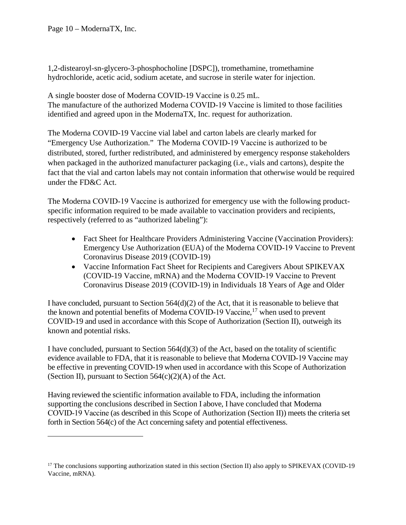1,2-distearoyl-sn-glycero-3-phosphocholine [DSPC]), tromethamine, tromethamine hydrochloride, acetic acid, sodium acetate, and sucrose in sterile water for injection.

A single booster dose of Moderna COVID-19 Vaccine is 0.25 mL. The manufacture of the authorized Moderna COVID-19 Vaccine is limited to those facilities identified and agreed upon in the ModernaTX, Inc. request for authorization.

The Moderna COVID-19 Vaccine vial label and carton labels are clearly marked for "Emergency Use Authorization." The Moderna COVID‑19 Vaccine is authorized to be distributed, stored, further redistributed, and administered by emergency response stakeholders when packaged in the authorized manufacturer packaging (i.e., vials and cartons), despite the fact that the vial and carton labels may not contain information that otherwise would be required under the FD&C Act.

The Moderna COVID-19 Vaccine is authorized for emergency use with the following productspecific information required to be made available to vaccination providers and recipients, respectively (referred to as "authorized labeling"):

- Fact Sheet for Healthcare Providers Administering Vaccine (Vaccination Providers): Emergency Use Authorization (EUA) of the Moderna COVID‑19 Vaccine to Prevent Coronavirus Disease 2019 (COVID-19)
- Vaccine Information Fact Sheet for Recipients and Caregivers About SPIKEVAX (COVID-19 Vaccine, mRNA) and the Moderna COVID‑19 Vaccine to Prevent Coronavirus Disease 2019 (COVID-19) in Individuals 18 Years of Age and Older

I have concluded, pursuant to Section  $564(d)(2)$  of the Act, that it is reasonable to believe that the known and potential benefits of Moderna COVID-19 Vaccine, <sup>17</sup> when used to prevent COVID-19 and used in accordance with this Scope of Authorization (Section II), outweigh its known and potential risks.

I have concluded, pursuant to Section  $564(d)(3)$  of the Act, based on the totality of scientific evidence available to FDA, that it is reasonable to believe that Moderna COVID-19 Vaccine may be effective in preventing COVID-19 when used in accordance with this Scope of Authorization (Section II), pursuant to Section  $564(c)(2)(A)$  of the Act.

Having reviewed the scientific information available to FDA, including the information supporting the conclusions described in Section I above, I have concluded that Moderna COVID‑19 Vaccine (as described in this Scope of Authorization (Section II)) meets the criteria set forth in Section 564(c) of the Act concerning safety and potential effectiveness.

<sup>&</sup>lt;sup>17</sup> The conclusions supporting authorization stated in this section (Section II) also apply to SPIKEVAX (COVID-19 Vaccine, mRNA).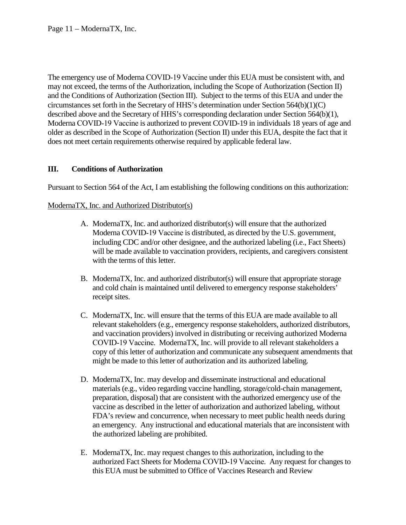The emergency use of Moderna COVID-19 Vaccine under this EUA must be consistent with, and may not exceed, the terms of the Authorization, including the Scope of Authorization (Section II) and the Conditions of Authorization (Section III). Subject to the terms of this EUA and under the circumstances set forth in the Secretary of HHS's determination under Section 564(b)(1)(C) described above and the Secretary of HHS's corresponding declaration under Section 564(b)(1), Moderna COVID-19 Vaccine is authorized to prevent COVID-19 in individuals 18 years of age and older as described in the Scope of Authorization (Section II) under this EUA, despite the fact that it does not meet certain requirements otherwise required by applicable federal law.

# **III. Conditions of Authorization**

Pursuant to Section 564 of the Act, I am establishing the following conditions on this authorization:

### ModernaTX, Inc. and Authorized Distributor(s)

- A. ModernaTX, Inc. and authorized distributor(s) will ensure that the authorized Moderna COVID-19 Vaccine is distributed, as directed by the U.S. government, including CDC and/or other designee, and the authorized labeling (i.e., Fact Sheets) will be made available to vaccination providers, recipients, and caregivers consistent with the terms of this letter.
- B. ModernaTX, Inc. and authorized distributor(s) will ensure that appropriate storage and cold chain is maintained until delivered to emergency response stakeholders' receipt sites.
- C. ModernaTX, Inc. will ensure that the terms of this EUA are made available to all relevant stakeholders (e.g., emergency response stakeholders, authorized distributors, and vaccination providers) involved in distributing or receiving authorized Moderna COVID‑19 Vaccine. ModernaTX, Inc. will provide to all relevant stakeholders a copy of this letter of authorization and communicate any subsequent amendments that might be made to this letter of authorization and its authorized labeling.
- D. ModernaTX, Inc. may develop and disseminate instructional and educational materials (e.g., video regarding vaccine handling, storage/cold-chain management, preparation, disposal) that are consistent with the authorized emergency use of the vaccine as described in the letter of authorization and authorized labeling, without FDA's review and concurrence, when necessary to meet public health needs during an emergency. Any instructional and educational materials that are inconsistent with the authorized labeling are prohibited.
- E. ModernaTX, Inc. may request changes to this authorization, including to the authorized Fact Sheets for Moderna COVID‑19 Vaccine. Any request for changes to this EUA must be submitted to Office of Vaccines Research and Review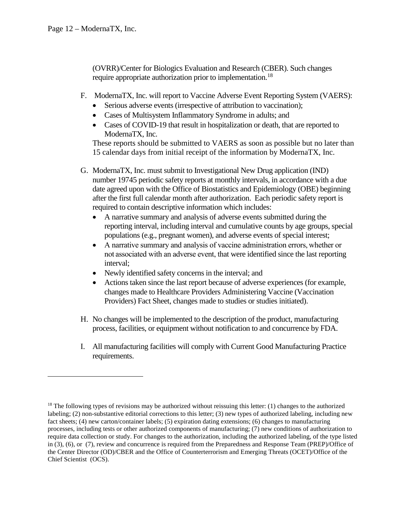(OVRR)/Center for Biologics Evaluation and Research (CBER). Such changes require appropriate authorization prior to implementation.<sup>18</sup>

- F. ModernaTX, Inc. will report to Vaccine Adverse Event Reporting System (VAERS):
	- Serious adverse events (irrespective of attribution to vaccination);
	- Cases of Multisystem Inflammatory Syndrome in adults; and
	- Cases of COVID-19 that result in hospitalization or death, that are reported to ModernaTX, Inc.

These reports should be submitted to VAERS as soon as possible but no later than 15 calendar days from initial receipt of the information by ModernaTX, Inc.

- G. ModernaTX, Inc. must submit to Investigational New Drug application (IND) number 19745 periodic safety reports at monthly intervals, in accordance with a due date agreed upon with the Office of Biostatistics and Epidemiology (OBE) beginning after the first full calendar month after authorization. Each periodic safety report is required to contain descriptive information which includes:
	- A narrative summary and analysis of adverse events submitted during the reporting interval, including interval and cumulative counts by age groups, special populations (e.g., pregnant women), and adverse events of special interest;
	- A narrative summary and analysis of vaccine administration errors, whether or not associated with an adverse event, that were identified since the last reporting interval;
	- Newly identified safety concerns in the interval; and
	- Actions taken since the last report because of adverse experiences (for example, changes made to Healthcare Providers Administering Vaccine (Vaccination Providers) Fact Sheet, changes made to studies or studies initiated).
- H. No changes will be implemented to the description of the product, manufacturing process, facilities, or equipment without notification to and concurrence by FDA.
- I. All manufacturing facilities will comply with Current Good Manufacturing Practice requirements.

 $18$  The following types of revisions may be authorized without reissuing this letter: (1) changes to the authorized labeling; (2) non-substantive editorial corrections to this letter; (3) new types of authorized labeling, including new fact sheets; (4) new carton/container labels; (5) expiration dating extensions; (6) changes to manufacturing processes, including tests or other authorized components of manufacturing; (7) new conditions of authorization to require data collection or study. For changes to the authorization, including the authorized labeling, of the type listed in (3), (6), or (7), review and concurrence is required from the Preparedness and Response Team (PREP)/Office of the Center Director (OD)/CBER and the Office of Counterterrorism and Emerging Threats (OCET)/Office of the Chief Scientist (OCS).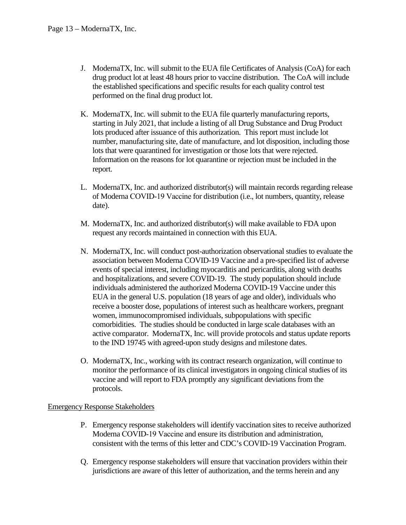- J. ModernaTX, Inc. will submit to the EUA file Certificates of Analysis (CoA) for each drug product lot at least 48 hours prior to vaccine distribution. The CoA will include the established specifications and specific results for each quality control test performed on the final drug product lot.
- K. ModernaTX, Inc. will submit to the EUA file quarterly manufacturing reports, starting in July 2021, that include a listing of all Drug Substance and Drug Product lots produced after issuance of this authorization. This report must include lot number, manufacturing site, date of manufacture, and lot disposition, including those lots that were quarantined for investigation or those lots that were rejected. Information on the reasons for lot quarantine or rejection must be included in the report.
- L. ModernaTX, Inc. and authorized distributor(s) will maintain records regarding release of Moderna COVID‑19 Vaccine for distribution (i.e., lot numbers, quantity, release date).
- M. ModernaTX, Inc. and authorized distributor(s) will make available to FDA upon request any records maintained in connection with this EUA.
- N. ModernaTX, Inc. will conduct post-authorization observational studies to evaluate the association between Moderna COVID-19 Vaccine and a pre-specified list of adverse events of special interest, including myocarditis and pericarditis, along with deaths and hospitalizations, and severe COVID-19. The study population should include individuals administered the authorized Moderna COVID-19 Vaccine under this EUA in the general U.S. population (18 years of age and older), individuals who receive a booster dose, populations of interest such as healthcare workers, pregnant women, immunocompromised individuals, subpopulations with specific comorbidities. The studies should be conducted in large scale databases with an active comparator. ModernaTX, Inc. will provide protocols and status update reports to the IND 19745 with agreed-upon study designs and milestone dates.
- O. ModernaTX, Inc., working with its contract research organization, will continue to monitor the performance of its clinical investigators in ongoing clinical studies of its vaccine and will report to FDA promptly any significant deviations from the protocols.

#### Emergency Response Stakeholders

- P. Emergency response stakeholders will identify vaccination sites to receive authorized Moderna COVID‑19 Vaccine and ensure its distribution and administration, consistent with the terms of this letter and CDC's COVID-19 Vaccination Program.
- Q. Emergency response stakeholders will ensure that vaccination providers within their jurisdictions are aware of this letter of authorization, and the terms herein and any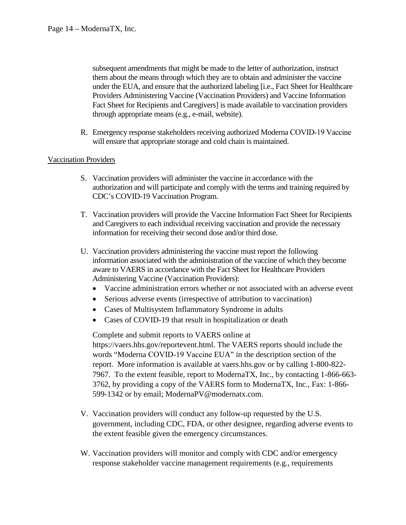subsequent amendments that might be made to the letter of authorization, instruct them about the means through which they are to obtain and administer the vaccine under the EUA, and ensure that the authorized labeling [i.e., Fact Sheet for Healthcare Providers Administering Vaccine (Vaccination Providers) and Vaccine Information Fact Sheet for Recipients and Caregivers] is made available to vaccination providers through appropriate means (e.g., e-mail, website).

R. Emergency response stakeholders receiving authorized Moderna COVID-19 Vaccine will ensure that appropriate storage and cold chain is maintained.

# Vaccination Providers

- S. Vaccination providers will administer the vaccine in accordance with the authorization and will participate and comply with the terms and training required by CDC's COVID-19 Vaccination Program.
- T. Vaccination providers will provide the Vaccine Information Fact Sheet for Recipients and Caregivers to each individual receiving vaccination and provide the necessary information for receiving their second dose and/or third dose.
- U. Vaccination providers administering the vaccine must report the following information associated with the administration of the vaccine of which they become aware to VAERS in accordance with the Fact Sheet for Healthcare Providers Administering Vaccine (Vaccination Providers):
	- Vaccine administration errors whether or not associated with an adverse event
	- Serious adverse events (irrespective of attribution to vaccination)
	- Cases of Multisystem Inflammatory Syndrome in adults
	- Cases of COVID-19 that result in hospitalization or death

Complete and submit reports to VAERS online at https://vaers.hhs.gov/reportevent.html. The VAERS reports should include the words "Moderna COVID-19 Vaccine EUA" in the description section of the report. More information is available at vaers.hhs.gov or by calling 1-800-822- 7967. To the extent feasible, report to ModernaTX, Inc., by contacting 1-866-663- 3762, by providing a copy of the VAERS form to ModernaTX, Inc., Fax: 1-866- 599-1342 or by email; ModernaPV@modernatx.com.

- V. Vaccination providers will conduct any follow-up requested by the U.S. government, including CDC, FDA, or other designee, regarding adverse events to the extent feasible given the emergency circumstances.
- W. Vaccination providers will monitor and comply with CDC and/or emergency response stakeholder vaccine management requirements (e.g., requirements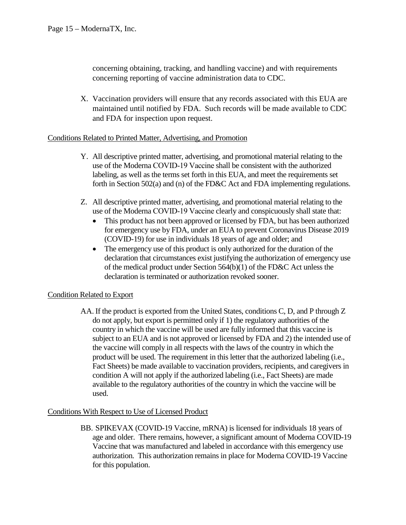concerning obtaining, tracking, and handling vaccine) and with requirements concerning reporting of vaccine administration data to CDC.

X. Vaccination providers will ensure that any records associated with this EUA are maintained until notified by FDA. Such records will be made available to CDC and FDA for inspection upon request.

### Conditions Related to Printed Matter, Advertising, and Promotion

- Y. All descriptive printed matter, advertising, and promotional material relating to the use of the Moderna COVID‑19 Vaccine shall be consistent with the authorized labeling, as well as the terms set forth in this EUA, and meet the requirements set forth in Section 502(a) and (n) of the FD&C Act and FDA implementing regulations.
- Z. All descriptive printed matter, advertising, and promotional material relating to the use of the Moderna COVID-19 Vaccine clearly and conspicuously shall state that:
	- This product has not been approved or licensed by FDA, but has been authorized for emergency use by FDA, under an EUA to prevent Coronavirus Disease 2019 (COVID-19) for use in individuals 18 years of age and older; and
	- The emergency use of this product is only authorized for the duration of the declaration that circumstances exist justifying the authorization of emergency use of the medical product under Section 564(b)(1) of the FD&C Act unless the declaration is terminated or authorization revoked sooner.

# Condition Related to Export

AA. If the product is exported from the United States, conditions C, D, and P through Z do not apply, but export is permitted only if 1) the regulatory authorities of the country in which the vaccine will be used are fully informed that this vaccine is subject to an EUA and is not approved or licensed by FDA and 2) the intended use of the vaccine will comply in all respects with the laws of the country in which the product will be used. The requirement in this letter that the authorized labeling (i.e., Fact Sheets) be made available to vaccination providers, recipients, and caregivers in condition A will not apply if the authorized labeling (i.e., Fact Sheets) are made available to the regulatory authorities of the country in which the vaccine will be used.

# Conditions With Respect to Use of Licensed Product

BB. SPIKEVAX (COVID-19 Vaccine, mRNA) is licensed for individuals 18 years of age and older. There remains, however, a significant amount of Moderna COVID-19 Vaccine that was manufactured and labeled in accordance with this emergency use authorization. This authorization remains in place for Moderna COVID-19 Vaccine for this population.